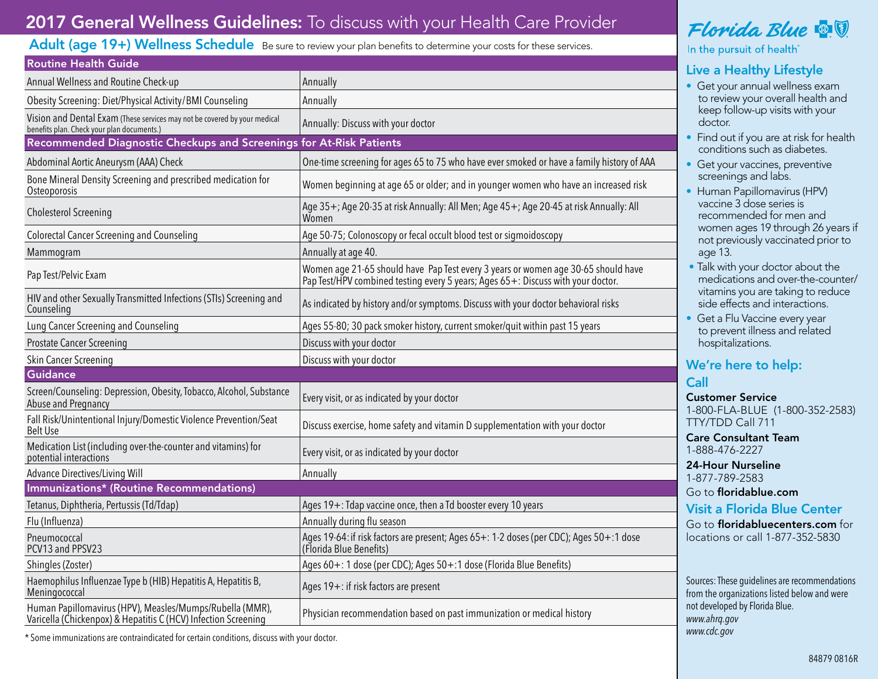# 2017 General Wellness Guidelines: To discuss with your Health Care Provider

### Adult (age 19+) Wellness Schedule Be sure to review your plan benefits to determine your costs for these services.

| <b>Routine Health Guide</b>                                                                                                |                                                                                                                                                                       |
|----------------------------------------------------------------------------------------------------------------------------|-----------------------------------------------------------------------------------------------------------------------------------------------------------------------|
| Annual Wellness and Routine Check-up                                                                                       | Annually                                                                                                                                                              |
| Obesity Screening: Diet/Physical Activity/BMI Counseling                                                                   | Annually                                                                                                                                                              |
| Vision and Dental Exam (These services may not be covered by your medical<br>benefits plan. Check your plan documents.)    | Annually: Discuss with your doctor                                                                                                                                    |
| Recommended Diagnostic Checkups and Screenings for At-Risk Patients                                                        |                                                                                                                                                                       |
| Abdominal Aortic Aneurysm (AAA) Check                                                                                      | One-time screening for ages 65 to 75 who have ever smoked or have a family history of AAA                                                                             |
| Bone Mineral Density Screening and prescribed medication for<br>Osteoporosis                                               | Women beginning at age 65 or older; and in younger women who have an increased risk                                                                                   |
| Cholesterol Screening                                                                                                      | Age 35+; Age 20-35 at risk Annually: All Men; Age 45+; Age 20-45 at risk Annually: All<br>Women                                                                       |
| <b>Colorectal Cancer Screening and Counseling</b>                                                                          | Age 50-75; Colonoscopy or fecal occult blood test or sigmoidoscopy                                                                                                    |
| Mammogram                                                                                                                  | Annually at age 40.                                                                                                                                                   |
| Pap Test/Pelvic Exam                                                                                                       | Women age 21-65 should have Pap Test every 3 years or women age 30-65 should have<br>Pap Test/HPV combined testing every 5 years; Ages 65+: Discuss with your doctor. |
| HIV and other Sexually Transmitted Infections (STIs) Screening and<br>Counseling                                           | As indicated by history and/or symptoms. Discuss with your doctor behavioral risks                                                                                    |
| Lung Cancer Screening and Counseling                                                                                       | Ages 55-80; 30 pack smoker history, current smoker/quit within past 15 years                                                                                          |
| <b>Prostate Cancer Screening</b>                                                                                           | Discuss with your doctor                                                                                                                                              |
| Skin Cancer Screening                                                                                                      | Discuss with your doctor                                                                                                                                              |
| <b>Guidance</b>                                                                                                            |                                                                                                                                                                       |
| Screen/Counseling: Depression, Obesity, Tobacco, Alcohol, Substance<br>Abuse and Pregnancy                                 | Every visit, or as indicated by your doctor                                                                                                                           |
| Fall Risk/Unintentional Injury/Domestic Violence Prevention/Seat<br><b>Belt Use</b>                                        | Discuss exercise, home safety and vitamin D supplementation with your doctor                                                                                          |
| Medication List (including over-the-counter and vitamins) for<br>potential interactions                                    | Every visit, or as indicated by your doctor                                                                                                                           |
| <b>Advance Directives/Living Will</b>                                                                                      | Annually                                                                                                                                                              |
| <b>Immunizations* (Routine Recommendations)</b>                                                                            |                                                                                                                                                                       |
| Tetanus, Diphtheria, Pertussis (Td/Tdap)                                                                                   | Ages 19+: Tdap vaccine once, then a Td booster every 10 years                                                                                                         |
| Flu (Influenza)                                                                                                            | Annually during flu season                                                                                                                                            |
| Pneumococcal<br>PCV13 and PPSV23                                                                                           | Ages 19-64: if risk factors are present; Ages 65+: 1-2 doses (per CDC); Ages 50+:1 dose<br>(Florida Blue Benefits)                                                    |
| Shingles (Zoster)                                                                                                          | Ages 60+: 1 dose (per CDC); Ages 50+:1 dose (Florida Blue Benefits)                                                                                                   |
| Haemophilus Influenzae Type b (HIB) Hepatitis A, Hepatitis B,<br>Meningococcal                                             | Ages 19+: if risk factors are present                                                                                                                                 |
| Human Papillomavirus (HPV), Measles/Mumps/Rubella (MMR),<br>Varicella (Chickenpox) & Hepatitis C (HCV) Infection Screening | Physician recommendation based on past immunization or medical history                                                                                                |

Florida Blue **& V** 

In the pursuit of health

## Live a Healthy Lifestyle

- Get your annual wellness exam to review your overall health and keep follow-up visits with your doctor.
- Find out if you are at risk for health conditions such as diabetes.
- Get your vaccines, preventive screenings and labs.
- Human Papillomavirus (HPV) vaccine 3 dose series is recommended for men and women ages 19 through 26 years if not previously vaccinated prior to age 13.
- Talk with your doctor about the medications and over-the-counter/ vitamins you are taking to reduce side effects and interactions.
- Get a Flu Vaccine every year to prevent illness and related hospitalizations.

## We're here to help:

### Call

Customer Service 1-800-FLA-BLUE (1-800-352-2583) TTY/TDD Call 711

Care Consultant Team 1-888-476-2227

24-Hour Nurseline 1-877-789-2583

Go to floridablue.com

### Visit a Florida Blue Center

Go to floridabluecenters.com for locations or call 1-877-352-5830

Sources: These guidelines are recommendations from the organizations listed below and were not developed by Florida Blue. *www.ahrq.gov*

*www.cdc.gov* \* Some immunizations are contraindicated for certain conditions, discuss with your doctor.